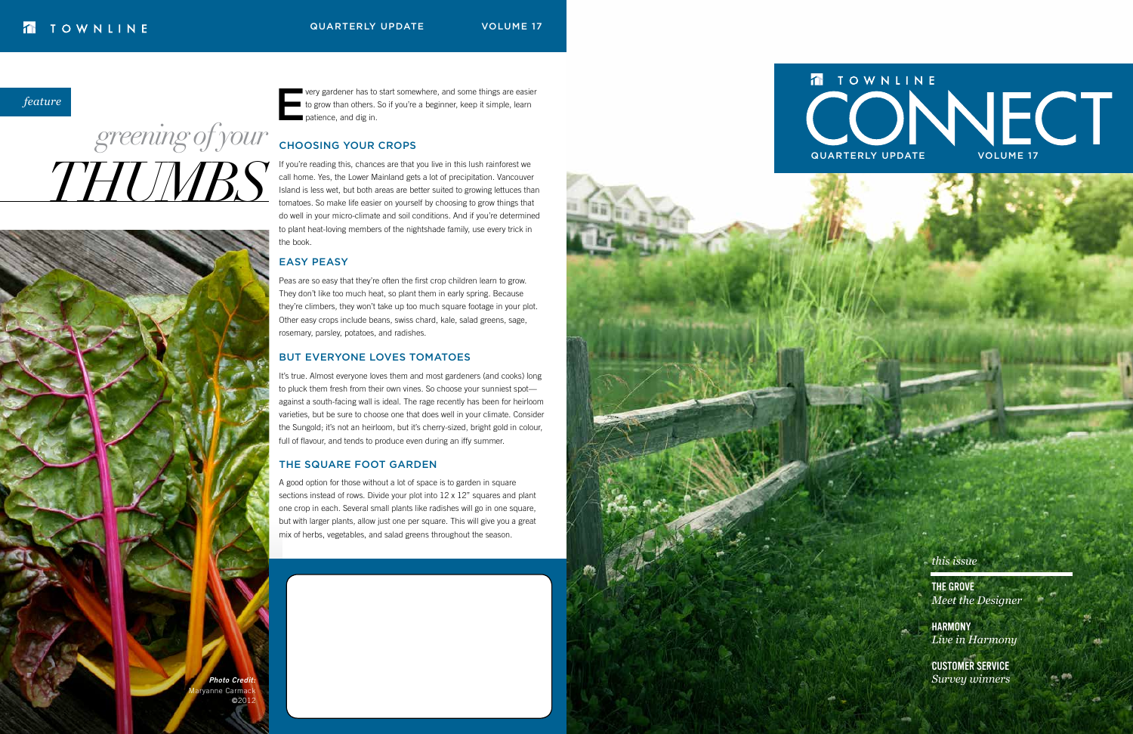*this issue*

**HARMONY** *Live in Harmony*

The Grove *Meet the Designer*

Customer service *Survey winners*

*feature*

## *THUMBS greening of your*

very gardener has to start somewhere, and some things are easier to grow than others. So if you're a beginner, keep it simple, learn patience, and dig in.

#### Choosing Your Crops

If you're reading this, chances are that you live in this lush rainforest we call home. Yes, the Lower Mainland gets a lot of precipitation. Vancouver Island is less wet, but both areas are better suited to growing lettuces than tomatoes. So make life easier on yourself by choosing to grow things that do well in your micro-climate and soil conditions. And if you're determined to plant heat-loving members of the nightshade family, use every trick in the book.

#### Easy Peasy

Peas are so easy that they're often the first crop children learn to grow. They don't like too much heat, so plant them in early spring. Because they're climbers, they won't take up too much square footage in your plot. Other easy crops include beans, swiss chard, kale, salad greens, sage, rosemary, parsley, potatoes, and radishes.

#### But Everyone Loves Tomatoes

It's true. Almost everyone loves them and most gardeners (and cooks) long to pluck them fresh from their own vines. So choose your sunniest spot against a south-facing wall is ideal. The rage recently has been for heirloom varieties, but be sure to choose one that does well in your climate. Consider the Sungold; it's not an heirloom, but it's cherry-sized, bright gold in colour, full of flavour, and tends to produce even during an iffy summer.

#### The Square Foot Garden

A good option for those without a lot of space is to garden in square sections instead of rows. Divide your plot into 12 x 12" squares and plant one crop in each. Several small plants like radishes will go in one square, but with larger plants, allow just one per square. This will give you a great mix of herbs, vegetables, and salad greens throughout the season.



## TOWNLINE QUARTERLY UPDATE VOLUME 17

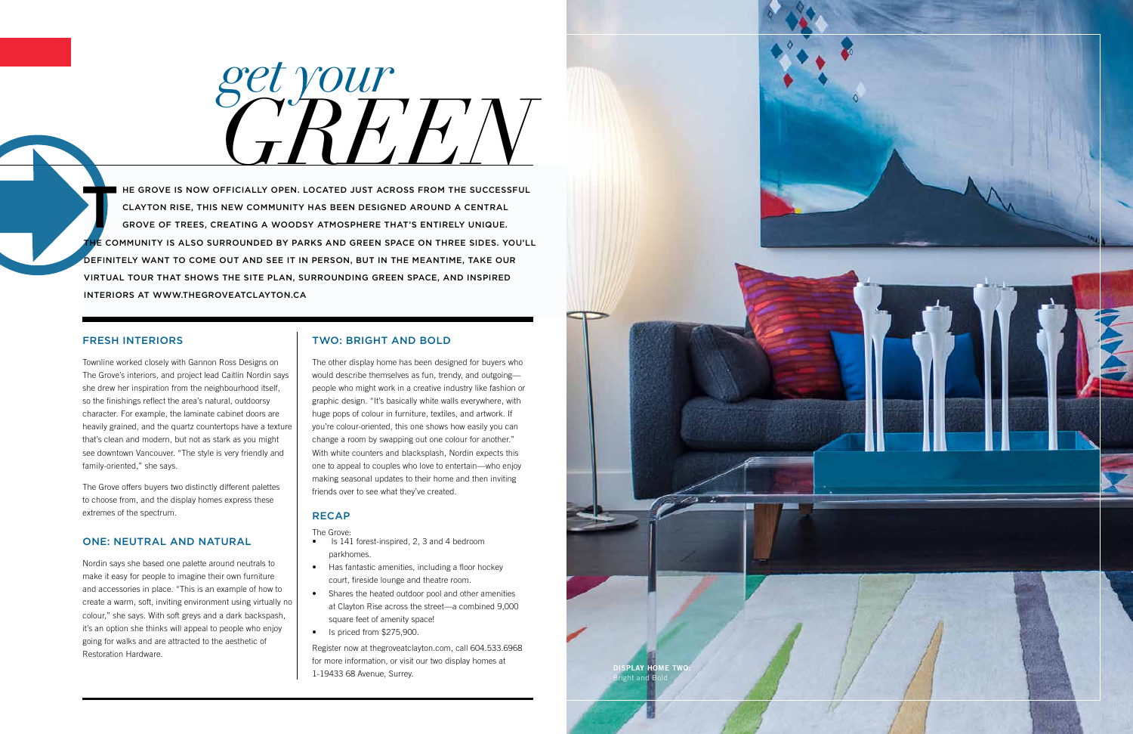#### Fresh interiors

Townline worked closely with Gannon Ross Designs on The Grove's interiors, and project lead Caitlin Nordin says she drew her inspiration from the neighbourhood itself, so the finishings reflect the area's natural, outdoorsy character. For example, the laminate cabinet doors are heavily grained, and the quartz countertops have a texture that's clean and modern, but not as stark as you might see downtown Vancouver. "The style is very friendly and family-oriented," she says.

The Grove offers buyers two distinctly different palettes to choose from, and the display homes express these extremes of the spectrum.

#### One: Neutral and Natural

Nordin says she based one palette around neutrals to make it easy for people to imagine their own furniture and accessories in place. "This is an example of how to create a warm, soft, inviting environment using virtually no colour," she says. With soft greys and a dark backspash, it's an option she thinks will appeal to people who enjoy going for walks and are attracted to the aesthetic of Restoration Hardware.

#### Two: Bright and Bold

*get your* GREEN

THE GROVE IS NOW OFFICIALLY OPEN. LOCATED JUST ACROSS FROM THE SUCCESSFUL<br>CLAYTON RISE, THIS NEW COMMUNITY HAS BEEN DESIGNED AROUND A CENTRAL<br>GROVE OF TREES, CREATING A WOODSY ATMOSPHERE THAT'S ENTIRELY UNIQUE. Clayton Rise, this new community has been designed around a central grove of trees, creating a woodsy atmosphere that's entirely unique. E COMMUNITY IS ALSO SURROUNDED BY PARKS AND GREEN SPACE ON THREE SIDES. YOU'LL definitely want to come out and see it in person, but in the meantime, take our virtual tour that shows the site plan, surrounding green space, and inspired interiors at www.thegroveatclayton.ca

> The other display home has been designed for buyers who would describe themselves as fun, trendy, and outgoing people who might work in a creative industry like fashion or graphic design. "It's basically white walls everywhere, with huge pops of colour in furniture, textiles, and artwork. If you're colour-oriented, this one shows how easily you can change a room by swapping out one colour for another." With white counters and blacksplash, Nordin expects this one to appeal to couples who love to entertain—who enjoy making seasonal updates to their home and then inviting friends over to see what they've created.

#### **RECAP**

The Grove:

- Is 141 forest-inspired, 2, 3 and 4 bedroom parkhomes.
- Has fantastic amenities, including a floor hockey court, fireside lounge and theatre room.
- Shares the heated outdoor pool and other amenities at Clayton Rise across the street—a combined 9,000 square feet of amenity space!
- Is priced from \$275,900.

Register now at thegroveatclayton.com, call 604.533.6968 for more information, or visit our two display homes at 1-19433 68 Avenue, Surrey.



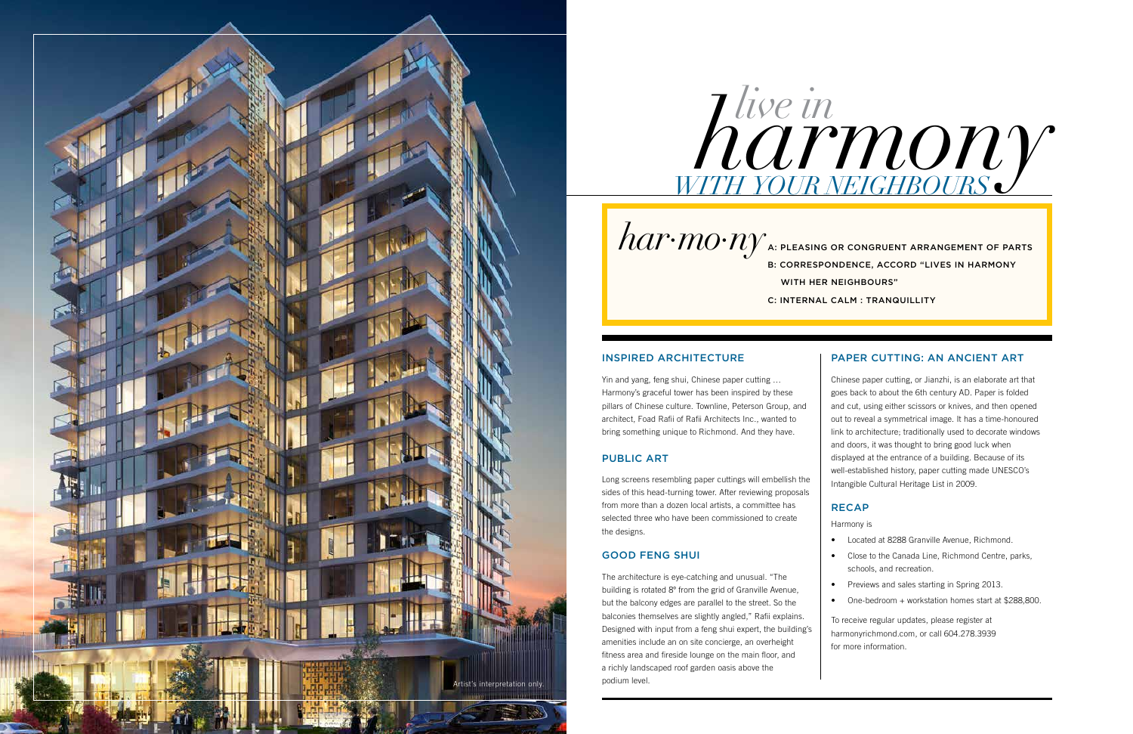#### Inspired Architecture

Yin and yang, feng shui, Chinese paper cutting … Harmony's graceful tower has been inspired by these pillars of Chinese culture. Townline, Peterson Group, and architect, Foad Rafii of Rafii Architects Inc., wanted to bring something unique to Richmond. And they have.

#### PUBLIC ART

Long screens resembling paper cuttings will embellish the sides of this head-turning tower. After reviewing proposals from more than a dozen local artists, a committee has selected three who have been commissioned to create the designs.

#### Good Feng Shui

- • Located at 8288 Granville Avenue, Richmond.
- • Close to the Canada Line, Richmond Centre, parks, schools, and recreation.
- Previews and sales starting in Spring 2013.
- One-bedroom + workstation homes start at \$288,800.

The architecture is eye-catching and unusual. "The building is rotated 8º from the grid of Granville Avenue, but the balcony edges are parallel to the street. So the balconies themselves are slightly angled," Rafii explains. Designed with input from a feng shui expert, the building's amenities include an on site concierge, an overheight fitness area and fireside lounge on the main floor, and a richly landscaped roof garden oasis above the podium level.

# *harmony*<br>*harmon*

Chinese paper cutting, or Jianzhi, is an elaborate art that goes back to about the 6th century AD. Paper is folded and cut, using either scissors or knives, and then opened out to reveal a symmetrical image. It has a time-honoured link to architecture; traditionally used to decorate windows and doors, it was thought to bring good luck when displayed at the entrance of a building. Because of its well-established history, paper cutting made UNESCO's Intangible Cultural Heritage List in 2009.

#### **RECAP**

Harmony is

To receive regular updates, please register at harmonyrichmond.com, or call 604.278.3939 for more information.

*with your neighbours*

*har·mo·ny* a: pleasing or congruent arrangement of parts

b: correspondence, accord "lives in harmony with her neighbours"

c: internal calm : tranquillity

#### PAPER CUTTING: AN ANCIENT ART

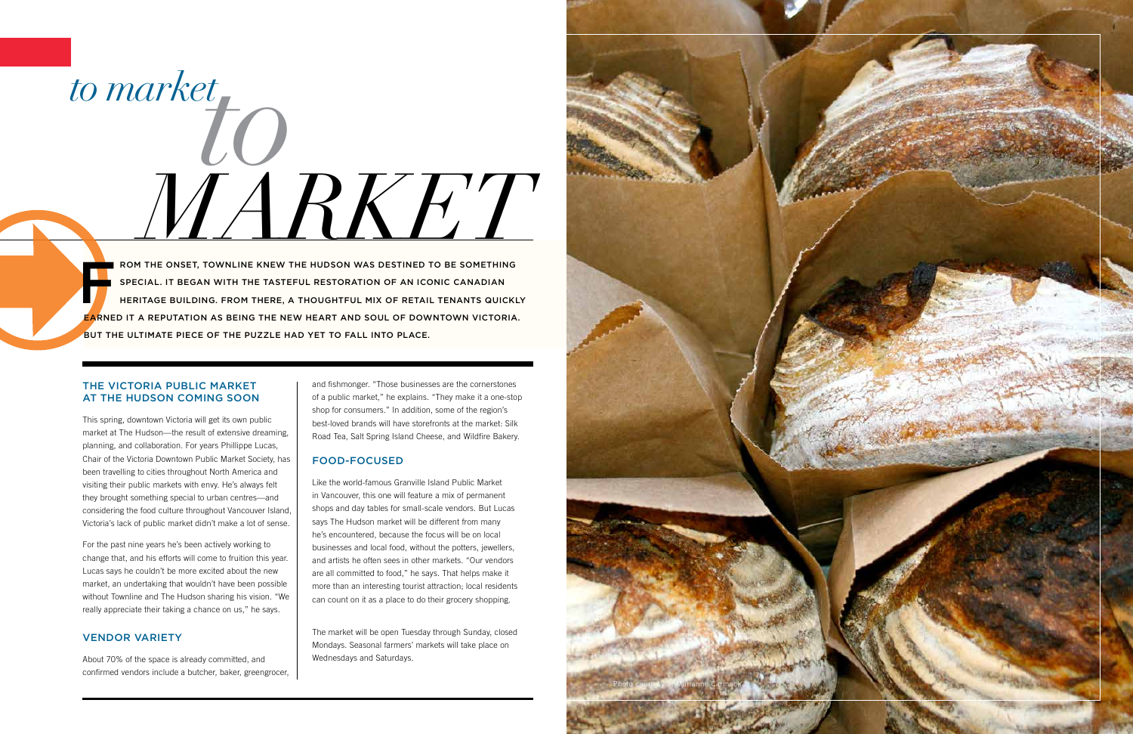#### The Victoria Public Market at The Hudson Coming Soon

This spring, downtown Victoria will get its own public market at The Hudson—the result of extensive dreaming, planning, and collaboration. For years Phillippe Lucas, Chair of the Victoria Downtown Public Market Society, has been travelling to cities throughout North America and visiting their public markets with envy. He's always felt they brought something special to urban centres—and considering the food culture throughout Vancouver Island, Victoria's lack of public market didn't make a lot of sense.

For the past nine years he's been actively working to change that, and his efforts will come to fruition this year. Lucas says he couldn't be more excited about the new market, an undertaking that wouldn't have been possible without Townline and The Hudson sharing his vision. "We really appreciate their taking a chance on us," he says.

#### **VENDOR VARIETY**

About 70% of the space is already committed, and confirmed vendors include a butcher, baker, greengrocer,

# <sup>to market</sup>tO *MARKET*

and fishmonger. "Those businesses are the cornerstones of a public market," he explains. "They make it a one-stop shop for consumers." In addition, some of the region's best-loved brands will have storefronts at the market: Silk Road Tea, Salt Spring Island Cheese, and Wildfire Bakery.

**ROM THE ONSET, TOWNLINE KNEW THE HUDSON WAS DESTINED TO BE SOMETHING** special. It began with the tasteful restoration of an iconic Canadian heritage building. From there, a thoughtful mix of retail tenants quickly earned it a reputation as being the new heart and soul of downtown Victoria. But the ultimate piece of the puzzle had yet to fall into place.

#### Food-Focused

Like the world-famous Granville Island Public Market in Vancouver, this one will feature a mix of permanent shops and day tables for small-scale vendors. But Lucas says The Hudson market will be different from many he's encountered, because the focus will be on local businesses and local food, without the potters, jewellers, and artists he often sees in other markets. "Our vendors are all committed to food," he says. That helps make it more than an interesting tourist attraction; local residents can count on it as a place to do their grocery shopping.

The market will be open Tuesday through Sunday, closed Mondays. Seasonal farmers' markets will take place on Wednesdays and Saturdays.

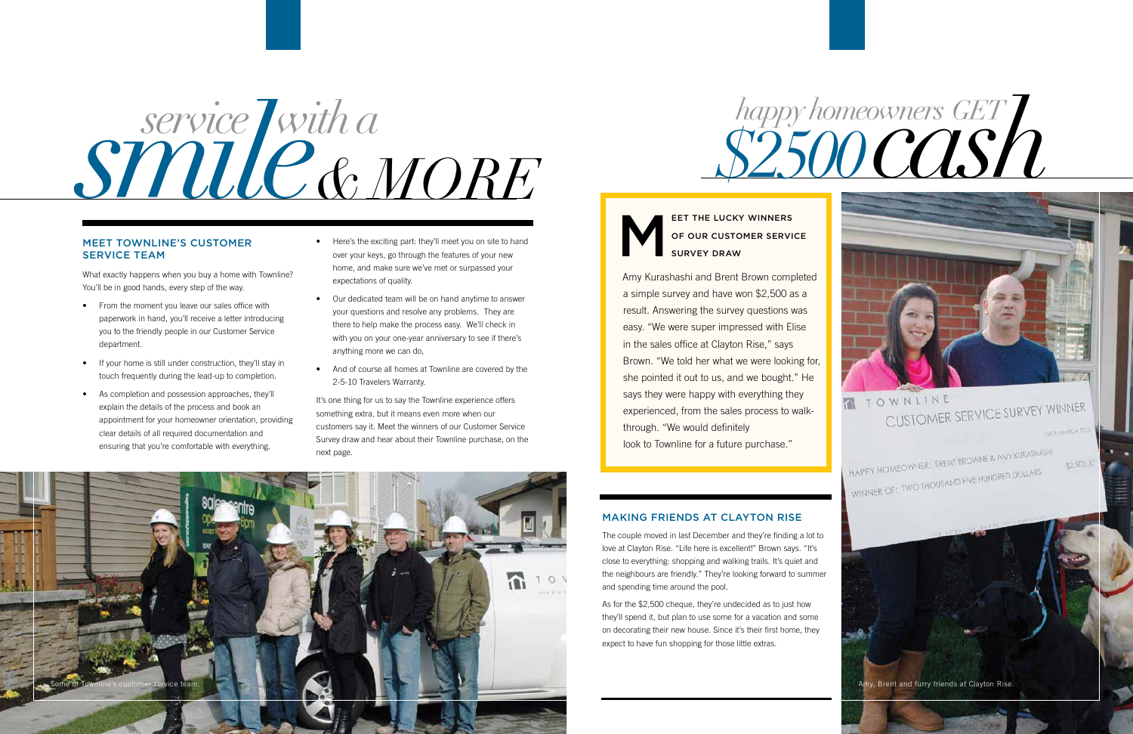What exactly happens when you buy a home with Townline? You'll be in good hands, every step of the way.

- From the moment you leave our sales office with paperwork in hand, you'll receive a letter introducing you to the friendly people in our Customer Service department.
- If your home is still under construction, they'll stay in touch frequently during the lead-up to completion.
- As completion and possession approaches, they'll explain the details of the process and book an appointment for your homeowner orientation, providing clear details of all required documentation and ensuring that you're comfortable with everything.
- Here's the exciting part: they'll meet you on site to hand over your keys, go through the features of your new home, and make sure we've met or surpassed your expectations of quality.
- Our dedicated team will be on hand anytime to answer your questions and resolve any problems. They are there to help make the process easy. We'll check in with you on your one-year anniversary to see if there's anything more we can do,
- And of course all homes at Townline are covered by the 2-5-10 Travelers Warranty.

It's one thing for us to say the Townline experience offers something extra, but it means even more when our customers say it. Meet the winners of our Customer Service Survey draw and hear about their Townline purchase, on the next page.

EET THE LUCKY WINNERS<br>OF OUR CUSTOMER SERVISURVEY DRAW of Our Customer Service Survey Draw

Amy Kurashashi and Brent Brown completed a simple survey and have won \$2,500 as a result. Answering the survey questions was easy. "We were super impressed with Elise in the sales office at Clayton Rise," says Brown. "We told her what we were looking for, she pointed it out to us, and we bought." He says they were happy with everything they experienced, from the sales process to walkthrough. "We would definitely look to Townline for a future purchase."



#### Making Friends at Clayton Rise

The couple moved in last December and they're finding a lot to love at Clayton Rise. "Life here is excellent!" Brown says. "It's close to everything: shopping and walking trails. It's quiet and the neighbours are friendly." They're looking forward to summer and spending time around the pool.

As for the \$2,500 cheque, they're undecided as to just how they'll spend it, but plan to use some for a vacation and some on decorating their new house. Since it's their first home, they expect to have fun shopping for those little extras.

# *happy homeowners* GET L

# *service with a & more*



#### Meet Townline's Customer **SERVICE TEAM**